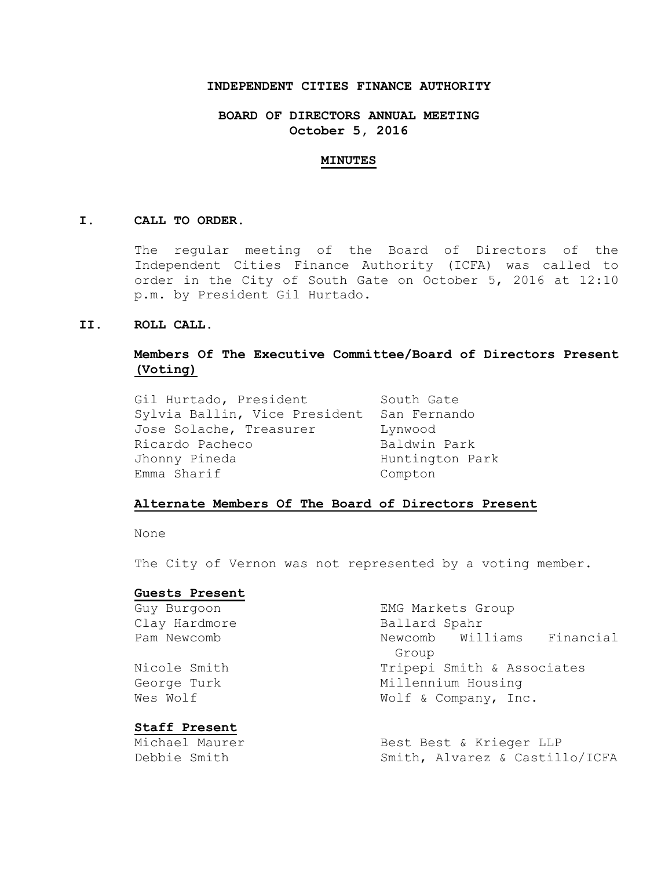## **INDEPENDENT CITIES FINANCE AUTHORITY**

## **BOARD OF DIRECTORS ANNUAL MEETING October 5, 2016**

#### **MINUTES**

### **I. CALL TO ORDER.**

The regular meeting of the Board of Directors of the Independent Cities Finance Authority (ICFA) was called to order in the City of South Gate on October 5, 2016 at 12:10 p.m. by President Gil Hurtado.

### **II. ROLL CALL.**

# **Members Of The Executive Committee/Board of Directors Present (Voting)**

Gil Hurtado, President South Gate Sylvia Ballin, Vice President San Fernando Jose Solache, Treasurer Lynwood Ricardo Pacheco Baldwin Park Jhonny Pineda **Huntington Park** Emma Sharif Compton

#### **Alternate Members Of The Board of Directors Present**

None

The City of Vernon was not represented by a voting member.

#### **Guests Present**

Guy Burgoon **EMG** Markets Group Clay Hardmore Ballard Spahr Pam Newcomb 1200 Newcomb Newcomb Williams Financial Group Nicole Smith Tripepi Smith & Associates George Turk Millennium Housing Wes Wolf  $W$  Wolf & Company, Inc. **Staff Present** Michael Maurer Best Best & Krieger LLP Debbie Smith Smith, Alvarez & Castillo/ICFA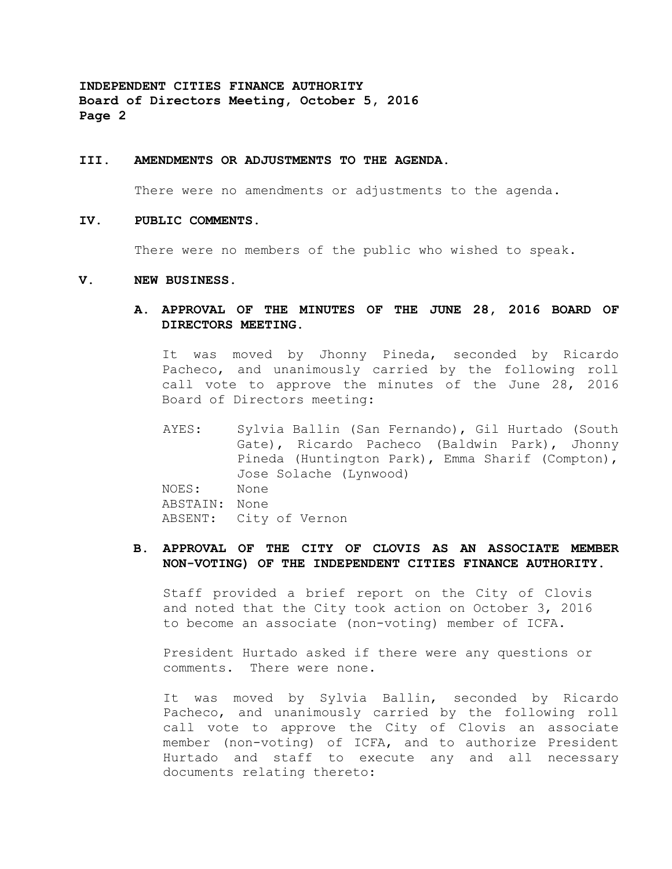#### **III. AMENDMENTS OR ADJUSTMENTS TO THE AGENDA.**

There were no amendments or adjustments to the agenda.

### **IV. PUBLIC COMMENTS.**

There were no members of the public who wished to speak.

#### **V. NEW BUSINESS.**

**A. APPROVAL OF THE MINUTES OF THE JUNE 28, 2016 BOARD OF DIRECTORS MEETING.**

It was moved by Jhonny Pineda, seconded by Ricardo Pacheco, and unanimously carried by the following roll call vote to approve the minutes of the June 28, 2016 Board of Directors meeting:

AYES: Sylvia Ballin (San Fernando), Gil Hurtado (South Gate), Ricardo Pacheco (Baldwin Park), Jhonny Pineda (Huntington Park), Emma Sharif (Compton), Jose Solache (Lynwood) NOES: None ABSTAIN: None ABSENT: City of Vernon

## **B. APPROVAL OF THE CITY OF CLOVIS AS AN ASSOCIATE MEMBER NON-VOTING) OF THE INDEPENDENT CITIES FINANCE AUTHORITY.**

Staff provided a brief report on the City of Clovis and noted that the City took action on October 3, 2016 to become an associate (non-voting) member of ICFA.

President Hurtado asked if there were any questions or comments. There were none.

It was moved by Sylvia Ballin, seconded by Ricardo Pacheco, and unanimously carried by the following roll call vote to approve the City of Clovis an associate member (non-voting) of ICFA, and to authorize President Hurtado and staff to execute any and all necessary documents relating thereto: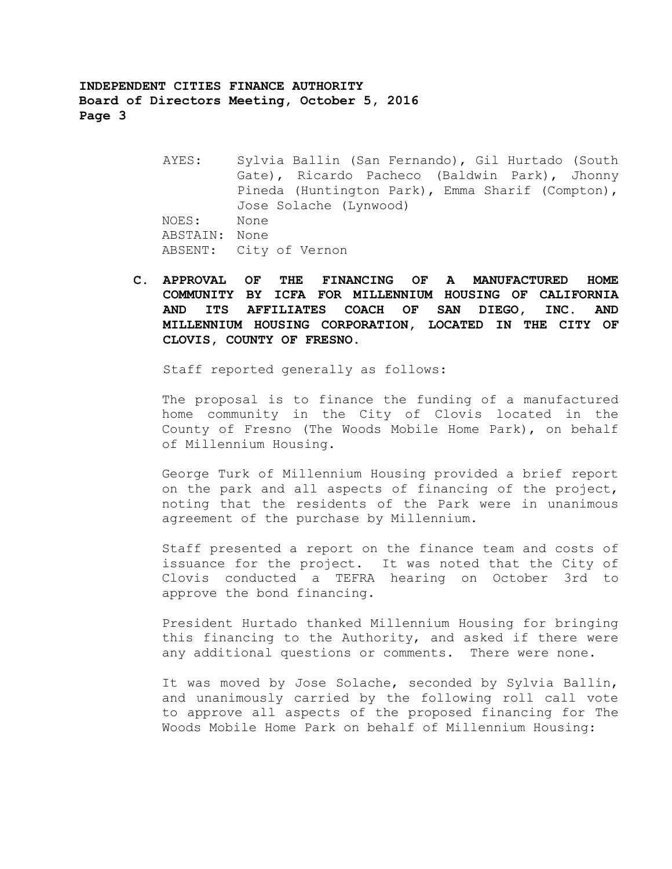- AYES: Sylvia Ballin (San Fernando), Gil Hurtado (South Gate), Ricardo Pacheco (Baldwin Park), Jhonny Pineda (Huntington Park), Emma Sharif (Compton), Jose Solache (Lynwood) NOES: None ABSTAIN: None ABSENT: City of Vernon
- **C. APPROVAL OF THE FINANCING OF A MANUFACTURED HOME COMMUNITY BY ICFA FOR MILLENNIUM HOUSING OF CALIFORNIA AND ITS AFFILIATES COACH OF SAN DIEGO, INC. AND MILLENNIUM HOUSING CORPORATION, LOCATED IN THE CITY OF CLOVIS, COUNTY OF FRESNO.**

Staff reported generally as follows:

The proposal is to finance the funding of a manufactured home community in the City of Clovis located in the County of Fresno (The Woods Mobile Home Park), on behalf of Millennium Housing.

George Turk of Millennium Housing provided a brief report on the park and all aspects of financing of the project, noting that the residents of the Park were in unanimous agreement of the purchase by Millennium.

Staff presented a report on the finance team and costs of issuance for the project. It was noted that the City of Clovis conducted a TEFRA hearing on October 3rd to approve the bond financing.

President Hurtado thanked Millennium Housing for bringing this financing to the Authority, and asked if there were any additional questions or comments. There were none.

It was moved by Jose Solache, seconded by Sylvia Ballin, and unanimously carried by the following roll call vote to approve all aspects of the proposed financing for The Woods Mobile Home Park on behalf of Millennium Housing: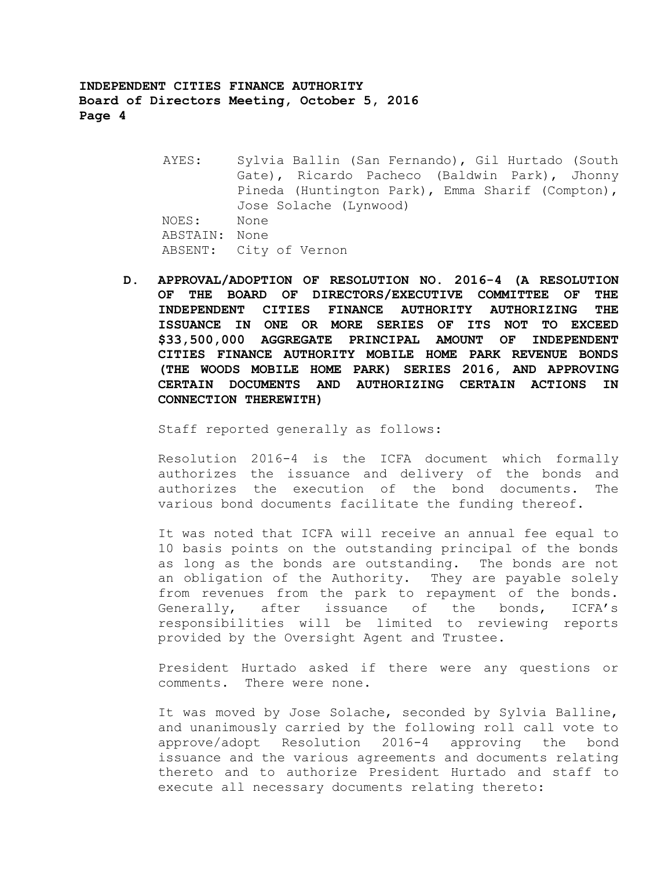- AYES: Sylvia Ballin (San Fernando), Gil Hurtado (South Gate), Ricardo Pacheco (Baldwin Park), Jhonny Pineda (Huntington Park), Emma Sharif (Compton), Jose Solache (Lynwood) NOES: None ABSTAIN: None ABSENT: City of Vernon
- **D. APPROVAL/ADOPTION OF RESOLUTION NO. 2016-4 (A RESOLUTION OF THE BOARD OF DIRECTORS/EXECUTIVE COMMITTEE OF THE INDEPENDENT CITIES FINANCE AUTHORITY AUTHORIZING THE ISSUANCE IN ONE OR MORE SERIES OF ITS NOT TO EXCEED \$33,500,000 AGGREGATE PRINCIPAL AMOUNT OF INDEPENDENT CITIES FINANCE AUTHORITY MOBILE HOME PARK REVENUE BONDS (THE WOODS MOBILE HOME PARK) SERIES 2016, AND APPROVING CERTAIN DOCUMENTS AND AUTHORIZING CERTAIN ACTIONS IN CONNECTION THEREWITH)**

Staff reported generally as follows:

Resolution 2016-4 is the ICFA document which formally authorizes the issuance and delivery of the bonds and authorizes the execution of the bond documents. The various bond documents facilitate the funding thereof.

It was noted that ICFA will receive an annual fee equal to 10 basis points on the outstanding principal of the bonds as long as the bonds are outstanding. The bonds are not an obligation of the Authority. They are payable solely from revenues from the park to repayment of the bonds. Generally, after issuance of the bonds, ICFA's responsibilities will be limited to reviewing reports provided by the Oversight Agent and Trustee.

President Hurtado asked if there were any questions or comments. There were none.

It was moved by Jose Solache, seconded by Sylvia Balline, and unanimously carried by the following roll call vote to approve/adopt Resolution 2016-4 approving the bond issuance and the various agreements and documents relating thereto and to authorize President Hurtado and staff to execute all necessary documents relating thereto: